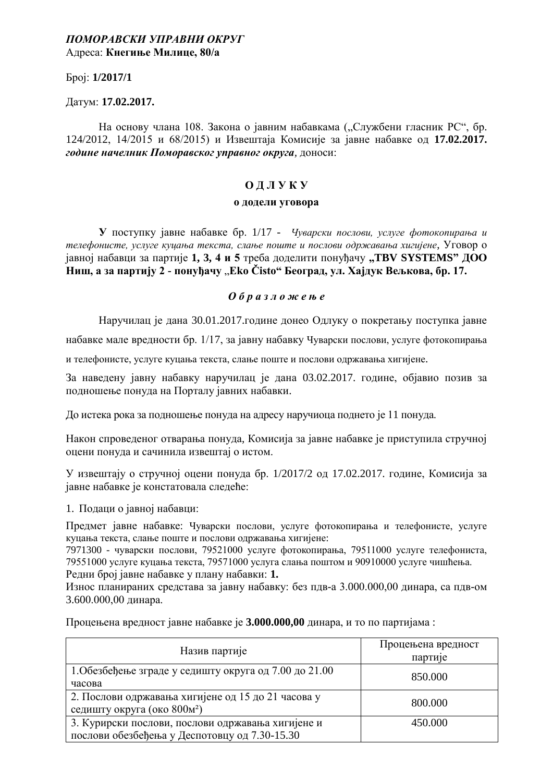### *ɉɈɆɈɊАȼɋКИ УɉɊАȼɇИ ɈКɊУȽ*  Адреса: Кнегиње Милице, 80/a

*<u>bpoi:</u>* **1/2017/1** 

Датум: 17.02.2017.

На основу члана 108. Закона о јавним набавкама ("Службени гласник РС", бр. 124/2012, 14/2015 и 68/2015) и Извештаја Комисије за јавне набавке од 17.02.2017. **године начелник Поморавског управног округа**, доноси:

### **ОЛЛУКУ**

### **• додели уговора**

**У** поступку јавне набавке бр. 1/17 - *Чуварски послови, услуге фотокопирања и* телефонисте, услуге куиања текста, слање поште и послови одржавања хигијене, Уговор о јавној набавци за партије 1, 3, 4 и 5 треба доделити понуђачу "TBV SYSTEMS" ДОО **Ниш, а за партију 2 - понуђачу "Eko Čisto" Београд, ул. Хајдук Вељкова, бр. 17.** 

### $0 6 p a 3 n o$  ж е њ е

Наручилац је дана 30.01.2017.године донео Одлуку о покретању поступка јавне

набавке мале вредности бр. 1/17, за јавну набавку Чуварски послови, услуге фотокопирања

и телефонисте, услуге куцања текста, слање поште и послови одржавања хигијене.

За наведену јавну набавку наручилац је дана 03.02.2017. године, објавио позив за подношење понуда на Порталу јавних набавки.

До истека рока за подношење понуда на адресу наручиоца поднето је 11 понуда.

Након спроведеног отварања понуда, Комисија за јавне набавке је приступила стручној оцени понуда и сачинила извештај о истом.

У извештају о стручној оцени понула бр.  $1/2017/2$  од 17.02.2017. године. Комисија за іавне набавке је констатовала следеће:

1. Полаци о іавноі набавци:

Предмет јавне набавке: Чуварски послови, услуге фотокопирања и телефонисте, услуге куцања текста, слање поште и послови одржавања хигијене:

7971300 - чуварски послови, 79521000 услуге фотокопирања, 79511000 услуге телефониста, 79551000 услуге куцања текста, 79571000 услуга слања поштом и 90910000 услуге чишћења. Редни број јавне набавке у плану набавки: 1.

Износ планираних средстава за јавну набавку: без пдв-а 3.000.000.00 динара, са пдв-ом 3.600.000,00 динара.

Процењена вредност јавне набавке је 3.000.000,00 динара, и то по партијама:

| Назив партије                                                                                      | Процењена вредност<br>партије |
|----------------------------------------------------------------------------------------------------|-------------------------------|
| 1. Обезбеђење зграде у седишту округа од 7.00 до 21.00<br>часова                                   | 850.000                       |
| 2. Послови одржавања хигијене од 15 до 21 часова у<br>седишту округа (око 800м <sup>2</sup> )      | 800.000                       |
| 3. Курирски послови, послови одржавања хигијене и<br>послови обезбеђења у Деспотовцу од 7.30-15.30 | 450.000                       |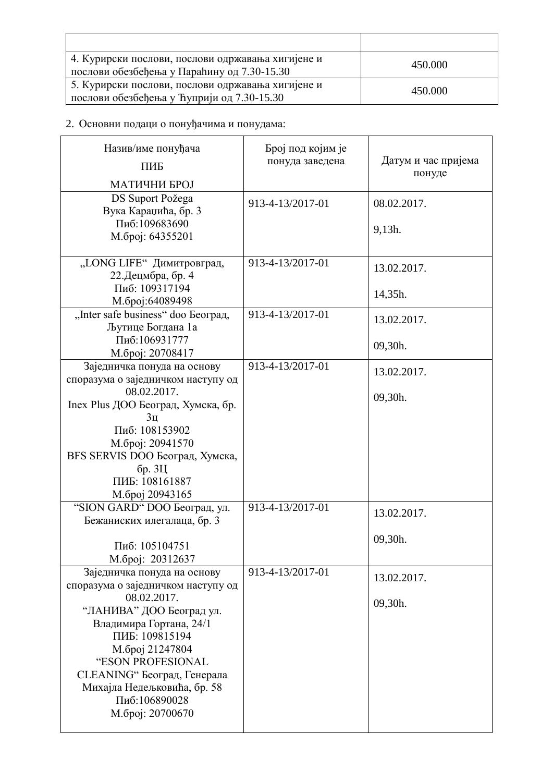| 4. Курирски послови, послови одржавања хигијене и<br>послови обезбеђења у Параћину од 7.30-15.30 | 450.000 |
|--------------------------------------------------------------------------------------------------|---------|
| 5. Курирски послови, послови одржавања хигијене и<br>послови обезбеђења у Ћуприји од 7.30-15.30  | 450.000 |

## 2. Основни подаци о понуђачима и понудама:

| Назив/име понуђача<br>ПИБ<br>МАТИЧНИ БРОЈ                                                                                                                                                                                                                                                            | Број под којим је<br>понуда заведена | Датум и час пријема<br>понуде |
|------------------------------------------------------------------------------------------------------------------------------------------------------------------------------------------------------------------------------------------------------------------------------------------------------|--------------------------------------|-------------------------------|
| DS Suport Požega<br>Вука Караџића, бр. 3<br>Пиб:109683690<br>М.број: 64355201                                                                                                                                                                                                                        | 913-4-13/2017-01                     | 08.02.2017.<br>9,13h.         |
| "LONG LIFE" Димитровград,<br>22. Децмбра, бр. 4<br>Пиб: 109317194<br>М.број:64089498                                                                                                                                                                                                                 | 913-4-13/2017-01                     | 13.02.2017.<br>14,35h.        |
| "Inter safe business" doo Београд,<br>Љутице Богдана 1а<br>Пиб:106931777<br>М.број: 20708417                                                                                                                                                                                                         | 913-4-13/2017-01                     | 13.02.2017.<br>09,30h.        |
| Заједничка понуда на основу<br>споразума о заједничком наступу од<br>08.02.2017.<br>Inex Plus ДОО Београд, Хумска, бр.<br>3 <sub>II</sub><br>Пиб: 108153902<br>М.број: 20941570<br>BFS SERVIS DOO Београд, Хумска,<br>бр. 3Ц<br>ПИБ: 108161887<br>М.број 20943165                                    | 913-4-13/2017-01                     | 13.02.2017.<br>09,30h.        |
| "SION GARD" DOO Београд, ул.<br>Бежаниских илегалаца, бр. 3<br>Пиб: 105104751<br>М.број: 20312637                                                                                                                                                                                                    | 913-4-13/2017-01                     | 13.02.2017.<br>09,30h.        |
| Заједничка понуда на основу<br>споразума о заједничком наступу од<br>08.02.2017.<br>"ЛАНИВА" ДОО Београд ул.<br>Владимира Гортана, 24/1<br>ПИБ: 109815194<br>М.број 21247804<br>"ESON PROFESIONAL<br>CLEANING" Београд, Генерала<br>Михајла Недељковића, бр. 58<br>Пиб:106890028<br>М.број: 20700670 | 913-4-13/2017-01                     | 13.02.2017.<br>09,30h.        |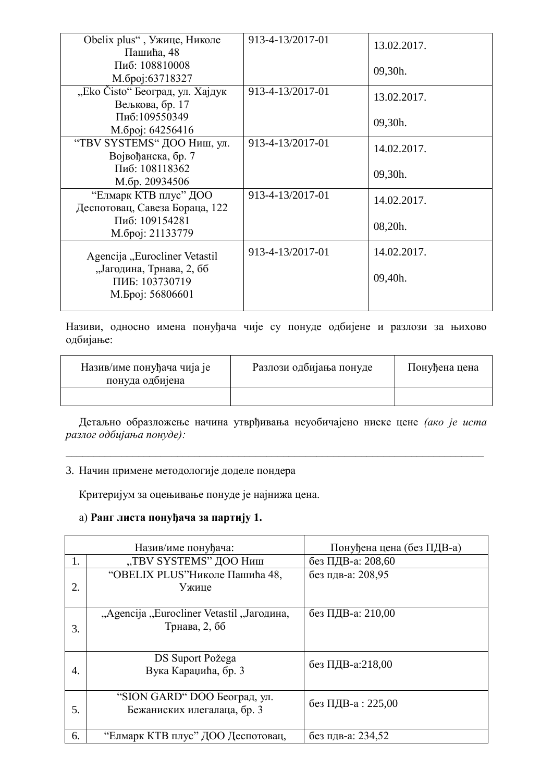| Obelix plus", Ужице, Николе<br>Пашића, 48               | 913-4-13/2017-01 | 13.02.2017. |
|---------------------------------------------------------|------------------|-------------|
| Пиб: 108810008<br>М.број:63718327                       |                  | 09,30h.     |
| "Eko Čisto" Београд, ул. Хајдук<br>Вељкова, бр. 17      | 913-4-13/2017-01 | 13.02.2017. |
| Пиб:109550349<br>М.број: 64256416                       |                  | 09,30h.     |
| "TBV SYSTEMS" ДОО Ниш, ул.<br>Војвођанска, бр. 7        | 913-4-13/2017-01 | 14.02.2017. |
| Пиб: 108118362<br>М.бр. 20934506                        |                  | 09,30h.     |
| "Елмарк КТВ плус" ДОО<br>Деспотовац, Савеза Бораца, 122 | 913-4-13/2017-01 | 14.02.2017. |
| Пиб: 109154281<br>М. број: 21133779                     |                  | 08,20h.     |
| Agencija "Eurocliner Vetastil                           | 913-4-13/2017-01 | 14.02.2017. |
| "Јагодина, Трнава, 2, бб<br>ПИБ: 103730719              |                  | 09,40h.     |
| М.Број: 56806601                                        |                  |             |

Називи, односно имена понуђача чије су понуде одбијене и разлози за њихово одбијање:

| Назив/име понуђача чија је<br>понуда одбијена | Разлози одбијања понуде | Понуђена цена |
|-----------------------------------------------|-------------------------|---------------|
|                                               |                         |               |

Детаљно образложење начина утврђивања неуобичајено ниске цене (ако је иста разлог одбијања понуде):

\_\_\_\_\_\_\_\_\_\_\_\_\_\_\_\_\_\_\_\_\_\_\_\_\_\_\_\_\_\_\_\_\_\_\_\_\_\_\_\_\_\_\_\_\_\_\_\_\_\_\_\_\_\_\_\_\_\_\_\_\_\_\_\_\_\_\_\_\_\_\_\_\_\_\_

### 3. Начин примене методологије доделе пондера

Критеријум за оцењивање понуде је најнижа цена.

### а) Ранг листа понуђача за партију 1.

|    | Назив/име понуђача:                                         | Понуђена цена (без ПДВ-а) |
|----|-------------------------------------------------------------|---------------------------|
| 1. | "TBV SYSTEMS" ДОО Ниш                                       | без ПДВ-а: 208,60         |
| 2. | "OBELIX PLUS" Николе Пашића 48,<br>Ужице                    | без пдв-а: 208,95         |
| 3. | "Agencija "Eurocliner Vetastil "Јагодина,<br>Трнава, 2, бб  | без ПДВ-а: 210,00         |
| 4. | DS Suport Požega<br>Вука Караџића, бр. 3                    | без ПДВ-а:218,00          |
| 5. | "SION GARD" DOO Београд, ул.<br>Бежаниских илегалаца, бр. 3 | без ПДВ-а: 225,00         |
| 6. | "Елмарк КТВ плус" ДОО Деспотовац,                           | без пдв-а: 234,52         |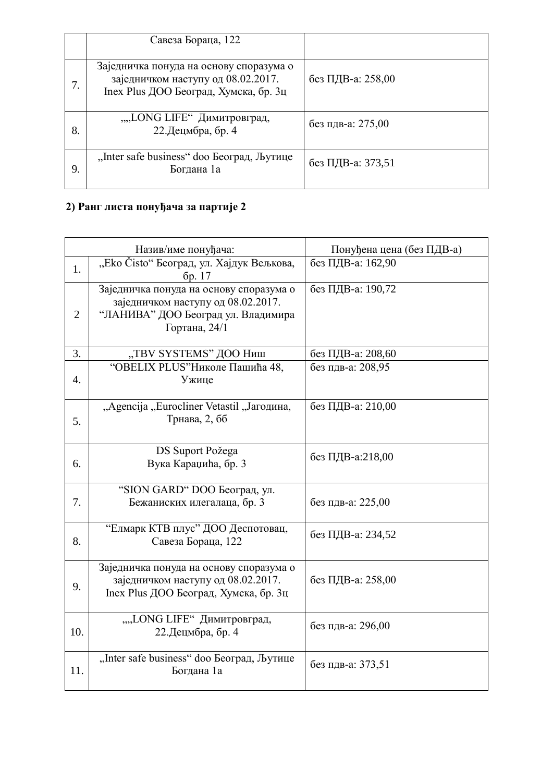|    | Савеза Бораца, 122                                                                                                     |                   |
|----|------------------------------------------------------------------------------------------------------------------------|-------------------|
|    | Заједничка понуда на основу споразума о<br>заједничком наступу од 08.02.2017.<br>Inex Plus ДОО Београд, Хумска, бр. 3ц | без ПДВ-а: 258,00 |
| 8. | ""LONG LIFE" Димитровград,<br>22. Децмбра, бр. 4                                                                       | без пдв-а: 275,00 |
| 9. | "Inter safe business" doo Београд, Љутице<br>Богдана 1а                                                                | без ПДВ-а: 373,51 |

# 2) Ранг листа понуђача за партије 2

|                | Назив/име понуђача:                                                                                                                  | Понуђена цена (без ПДВ-а) |
|----------------|--------------------------------------------------------------------------------------------------------------------------------------|---------------------------|
| 1.             | "Eko Čisto" Београд, ул. Хајдук Вељкова,<br>бр. 17                                                                                   | без ПДВ-а: 162,90         |
| $\overline{2}$ | Заједничка понуда на основу споразума о<br>заједничком наступу од 08.02.2017.<br>"ЛАНИВА" ДОО Београд ул. Владимира<br>Гортана, 24/1 | без ПДВ-а: 190,72         |
| 3.             | "TBV SYSTEMS" ДОО Ниш                                                                                                                | без ПДВ-а: 208,60         |
| 4.             | "OBELIX PLUS" Николе Пашића 48,<br>Ужице                                                                                             | без пдв-а: 208,95         |
| 5.             | "Agencija "Eurocliner Vetastil "Јагодина,<br>Трнава, 2, бб                                                                           | без ПДВ-а: 210,00         |
| 6.             | DS Suport Požega<br>Вука Караџића, бр. 3                                                                                             | без ПДВ-а:218,00          |
| 7.             | "SION GARD" DOO Београд, ул.<br>Бежаниских илегалаца, бр. 3                                                                          | без пдв-а: 225,00         |
| 8.             | "Елмарк КТВ плус" ДОО Деспотовац,<br>Савеза Бораца, 122                                                                              | без ПДВ-а: 234,52         |
| 9.             | Заједничка понуда на основу споразума о<br>заједничком наступу од 08.02.2017.<br>Inex Plus ДОО Београд, Хумска, бр. 3ц               | без ПДВ-а: 258,00         |
| 10.            | ""LONG LIFE" Димитровград,<br>22. Децмбра, бр. 4                                                                                     | без пдв-а: 296,00         |
| 11.            | "Inter safe business" doo Београд, Љутице<br>Богдана 1а                                                                              | без пдв-а: 373,51         |